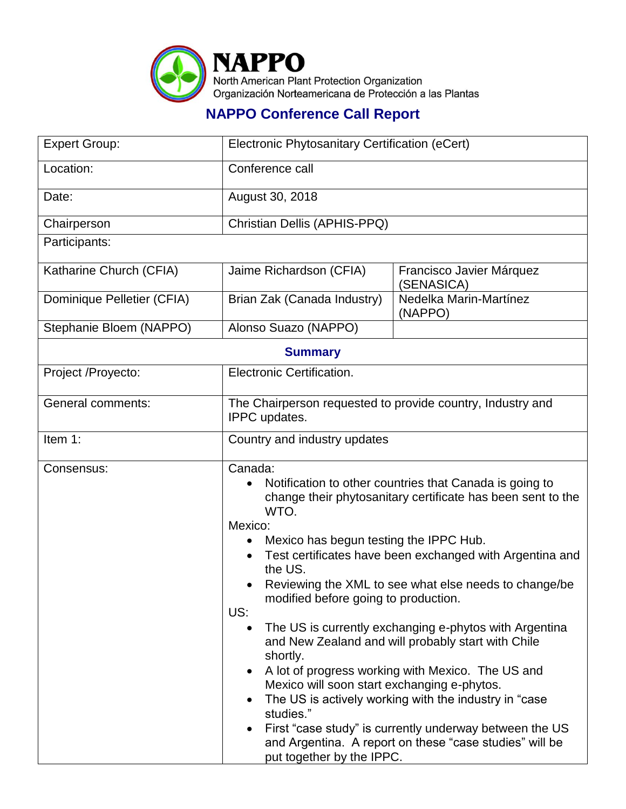

## **NAPPO Conference Call Report**

| <b>Expert Group:</b>       | Electronic Phytosanitary Certification (eCert)                                                                                                                                                                                                                                                                                                                                                                                                                                                                                                                                                                                                                                                                                                                                                                                          |                                        |  |  |
|----------------------------|-----------------------------------------------------------------------------------------------------------------------------------------------------------------------------------------------------------------------------------------------------------------------------------------------------------------------------------------------------------------------------------------------------------------------------------------------------------------------------------------------------------------------------------------------------------------------------------------------------------------------------------------------------------------------------------------------------------------------------------------------------------------------------------------------------------------------------------------|----------------------------------------|--|--|
| Location:                  | Conference call                                                                                                                                                                                                                                                                                                                                                                                                                                                                                                                                                                                                                                                                                                                                                                                                                         |                                        |  |  |
| Date:                      | August 30, 2018                                                                                                                                                                                                                                                                                                                                                                                                                                                                                                                                                                                                                                                                                                                                                                                                                         |                                        |  |  |
| Chairperson                | Christian Dellis (APHIS-PPQ)                                                                                                                                                                                                                                                                                                                                                                                                                                                                                                                                                                                                                                                                                                                                                                                                            |                                        |  |  |
| Participants:              |                                                                                                                                                                                                                                                                                                                                                                                                                                                                                                                                                                                                                                                                                                                                                                                                                                         |                                        |  |  |
| Katharine Church (CFIA)    | Jaime Richardson (CFIA)                                                                                                                                                                                                                                                                                                                                                                                                                                                                                                                                                                                                                                                                                                                                                                                                                 | Francisco Javier Márquez<br>(SENASICA) |  |  |
| Dominique Pelletier (CFIA) | Brian Zak (Canada Industry)                                                                                                                                                                                                                                                                                                                                                                                                                                                                                                                                                                                                                                                                                                                                                                                                             | Nedelka Marin-Martínez<br>(NAPPO)      |  |  |
| Stephanie Bloem (NAPPO)    | Alonso Suazo (NAPPO)                                                                                                                                                                                                                                                                                                                                                                                                                                                                                                                                                                                                                                                                                                                                                                                                                    |                                        |  |  |
| <b>Summary</b>             |                                                                                                                                                                                                                                                                                                                                                                                                                                                                                                                                                                                                                                                                                                                                                                                                                                         |                                        |  |  |
| Project /Proyecto:         | Electronic Certification.                                                                                                                                                                                                                                                                                                                                                                                                                                                                                                                                                                                                                                                                                                                                                                                                               |                                        |  |  |
| <b>General comments:</b>   | The Chairperson requested to provide country, Industry and<br>IPPC updates.                                                                                                                                                                                                                                                                                                                                                                                                                                                                                                                                                                                                                                                                                                                                                             |                                        |  |  |
| Item 1:                    | Country and industry updates                                                                                                                                                                                                                                                                                                                                                                                                                                                                                                                                                                                                                                                                                                                                                                                                            |                                        |  |  |
| Consensus:                 | Canada:<br>Notification to other countries that Canada is going to<br>change their phytosanitary certificate has been sent to the<br>WTO.<br>Mexico:<br>Mexico has begun testing the IPPC Hub.<br>Test certificates have been exchanged with Argentina and<br>the US.<br>Reviewing the XML to see what else needs to change/be<br>modified before going to production.<br>US:<br>The US is currently exchanging e-phytos with Argentina<br>and New Zealand and will probably start with Chile<br>shortly.<br>A lot of progress working with Mexico. The US and<br>Mexico will soon start exchanging e-phytos.<br>The US is actively working with the industry in "case"<br>studies."<br>First "case study" is currently underway between the US<br>and Argentina. A report on these "case studies" will be<br>put together by the IPPC. |                                        |  |  |